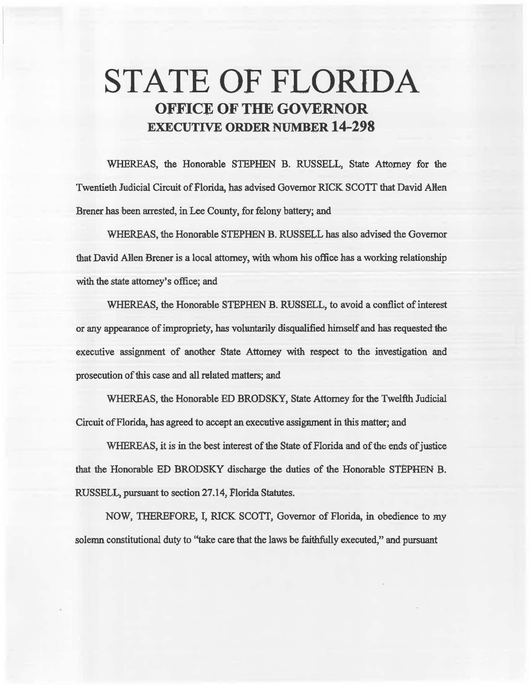# STATE OF FLORIDA OFFICE OF THE GOVERNOR EXECUTIVE ORDER NUMBER 14-298

WHEREAS, the Honorable STEPHEN B. RUSSELL, State Attorney for the Twentieth Judicial Circuit of Florida, has advised Governor RICK SCOTT that David Allen. Brener has been arrested, in Lee County, for felony battery; and

WHEREAS, the Honorable STEPHEN B. RUSSELL has also advised the Governor that David Allen Brener is a local attorney, with whom his office has a working relationship with the state attorney's office; and

WHEREAS, the Honorable STEPHEN B. RUSSELL, to avoid a conflict of interest or any appearance of impropriety, has voluntarily disqualified himself and has requested the executive assignment of another State Attorney with respect to the investigation and prosecution of this case and all related matters; aad

WHEREAS, the Honorable ED BRODSKY, State Attorney for the Twelfth Judicial Circuit of Florida, has agreed to accept an execative assigmnent in this matter; and

WHEREAS, it is in the best interest of the State of Florida and of the ends of justice that the Honorable ED BRODSKY discharge the duties of the Honorable STEPHEN B. RUSSELL, pursuant to section 27.14, Florida Statutes.

NOW, THEREFORE, I, RICK SCOTT, Governor of Florida, in obedience to my solemn constitutional duty to "take care that the laws be faithfully executed," and pursuant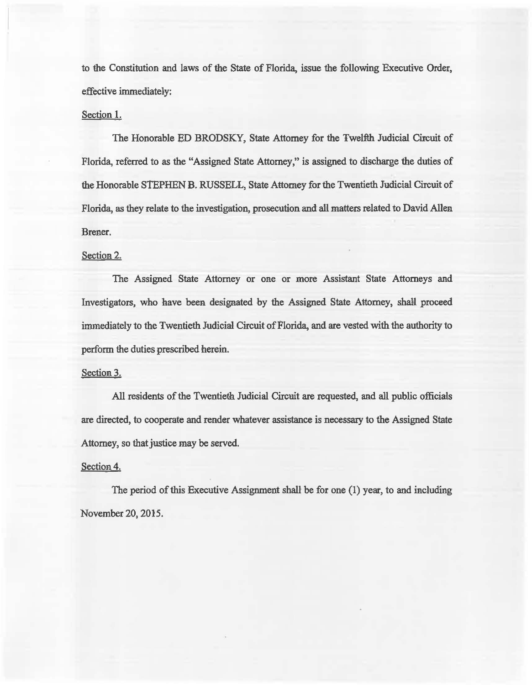to the Constitution and laws of the State of Florida, issue the following Executive Order, effective immediately:

### Section 1.

The Honorable ED BRODSKY, State Attorney for the Twelfth Judicial Circuit of Florida, referred to *as* the "Assigned State Attorney," is assigned to discharge the duties of the Honorable STEPHEN B. RUSSELL, State Attorney for the Twentieth Judicial Circuit of Florida, as they relate to the investigation, prosecution and all matters related to David Allen Brener.

#### Section 2.

The Assigned State Attorney or one or more Assistant State Attorneys and Investigators, who have been designated by the Assigned State Attorney, shall proceed immediately to the Twentieth Judicial Circuit of Florida, and are vested with the authority to perform the duties prescribed herein.

## Section 3.

All residents of the Twentieth Judicial Circuit are requested, and all public officials are directed, to cooperate and render whatever assistance is necessary to the Assigned State Attorney, so that justice may be served.

#### Section 4.

The period of this Executive Assignment shall be for one (1) year, to and including November 20, 2015.